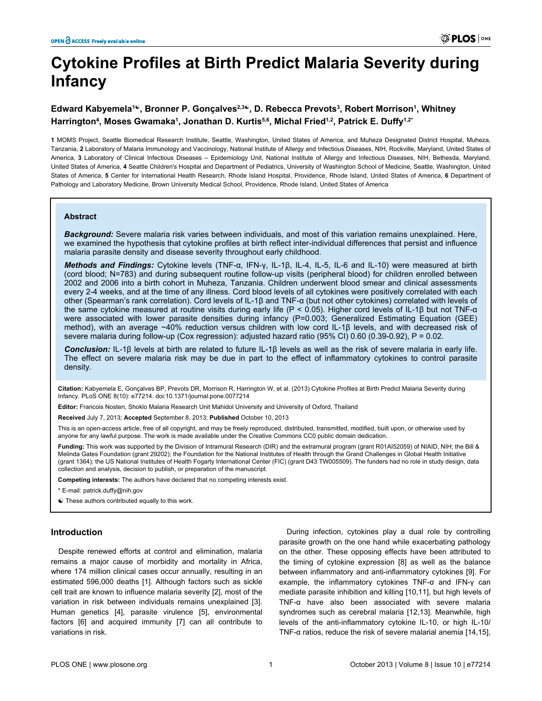# **Cytokine Profiles at Birth Predict Malaria Severity during Infancy**

## **Edward Kabyemela<sup>1</sup>☯, Bronner P. Gonçalves2,3☯, D. Rebecca Prevots<sup>3</sup> , Robert Morrison<sup>1</sup> , Whitney Harrington<sup>4</sup> , Moses Gwamaka<sup>1</sup> , Jonathan D. Kurtis5,6, Michal Fried1,2, Patrick E. Duffy1,2\***

**1** MOMS Project, Seattle Biomedical Research Institute, Seattle, Washington, United States of America, and Muheza Designated District Hospital, Muheza, Tanzania, **2** Laboratory of Malaria Immunology and Vaccinology, National Institute of Allergy and Infectious Diseases, NIH, Rockville, Maryland, United States of America, **3** Laboratory of Clinical Infectious Diseases – Epidemiology Unit, National Institute of Allergy and Infectious Diseases, NIH, Bethesda, Maryland, United States of America, **4** Seattle Children's Hospital and Department of Pediatrics, University of Washington School of Medicine, Seattle, Washington, United States of America, **5** Center for International Health Research, Rhode Island Hospital, Providence, Rhode Island, United States of America, **6** Department of Pathology and Laboratory Medicine, Brown University Medical School, Providence, Rhode Island, United States of America

#### **Abstract**

*Background:* Severe malaria risk varies between individuals, and most of this variation remains unexplained. Here, we examined the hypothesis that cytokine profiles at birth reflect inter-individual differences that persist and influence malaria parasite density and disease severity throughout early childhood.

*Methods and Findings:* Cytokine levels (TNF-α, IFN-γ, IL-1β, IL-4, IL-5, IL-6 and IL-10) were measured at birth (cord blood; N=783) and during subsequent routine follow-up visits (peripheral blood) for children enrolled between 2002 and 2006 into a birth cohort in Muheza, Tanzania. Children underwent blood smear and clinical assessments every 2-4 weeks, and at the time of any illness. Cord blood levels of all cytokines were positively correlated with each other (Spearman's rank correlation). Cord levels of IL-1β and TNF-α (but not other cytokines) correlated with levels of the same cytokine measured at routine visits during early life (P < 0.05). Higher cord levels of IL-1β but not TNF-α were associated with lower parasite densities during infancy (P=0.003; Generalized Estimating Equation (GEE) method), with an average ~40% reduction versus children with low cord IL-1β levels, and with decreased risk of severe malaria during follow-up (Cox regression): adjusted hazard ratio (95% CI) 0.60 (0.39-0.92), P = 0.02.

*Conclusion:* IL-1β levels at birth are related to future IL-1β levels as well as the risk of severe malaria in early life. The effect on severe malaria risk may be due in part to the effect of inflammatory cytokines to control parasite density.

**Citation:** Kabyemela E, Gonçalves BP, Prevots DR, Morrison R, Harrington W, et al. (2013) Cytokine Profiles at Birth Predict Malaria Severity during Infancy. PLoS ONE 8(10): e77214. doi:10.1371/journal.pone.0077214

**Editor:** Francois Nosten, Shoklo Malaria Research Unit Mahidol University and University of Oxford, Thailand

**Received** July 7, 2013; **Accepted** September 8, 2013; **Published** October 10, 2013

This is an open-access article, free of all copyright, and may be freely reproduced, distributed, transmitted, modified, built upon, or otherwise used by anyone for any lawful purpose. The work is made available under the Creative Commons CC0 public domain dedication.

**Funding:** This work was supported by the Division of Intramural Research (DIR) and the extramural program (grant R01AI52059) of NIAID, NIH; the Bill & Melinda Gates Foundation (grant 29202); the Foundation for the National Institutes of Health through the Grand Challenges in Global Health Initiative (grant 1364); the US National Institutes of Health Fogarty International Center (FIC) (grant D43 TW005509). The funders had no role in study design, data collection and analysis, decision to publish, or preparation of the manuscript.

**Competing interests:** The authors have declared that no competing interests exist.

\* E-mail: patrick.duffy@nih.gov

☯ These authors contributed equally to this work.

#### **Introduction**

Despite renewed efforts at control and elimination, malaria remains a major cause of morbidity and mortality in Africa, where 174 million clinical cases occur annually, resulting in an estimated 596,000 deaths [\[1\]](#page-6-0). Although factors such as sickle cell trait are known to influence malaria severity [\[2\]](#page-6-0), most of the variation in risk between individuals remains unexplained [\[3\]](#page-6-0). Human genetics [[4\]](#page-6-0), parasite virulence [\[5\]](#page-6-0), environmental factors [[6](#page-6-0)] and acquired immunity [[7\]](#page-6-0) can all contribute to variations in risk.

During infection, cytokines play a dual role by controlling parasite growth on the one hand while exacerbating pathology on the other. These opposing effects have been attributed to the timing of cytokine expression [\[8](#page-6-0)] as well as the balance between inflammatory and anti-inflammatory cytokines [\[9\]](#page-6-0). For example, the inflammatory cytokines TNF-α and IFN-γ can mediate parasite inhibition and killing [[10](#page-6-0),[11](#page-6-0)], but high levels of TNF-α have also been associated with severe malaria syndromes such as cerebral malaria [\[12,13\]](#page-6-0). Meanwhile, high levels of the anti-inflammatory cytokine IL-10, or high IL-10/ TNF-α ratios, reduce the risk of severe malarial anemia [\[14,15\]](#page-6-0),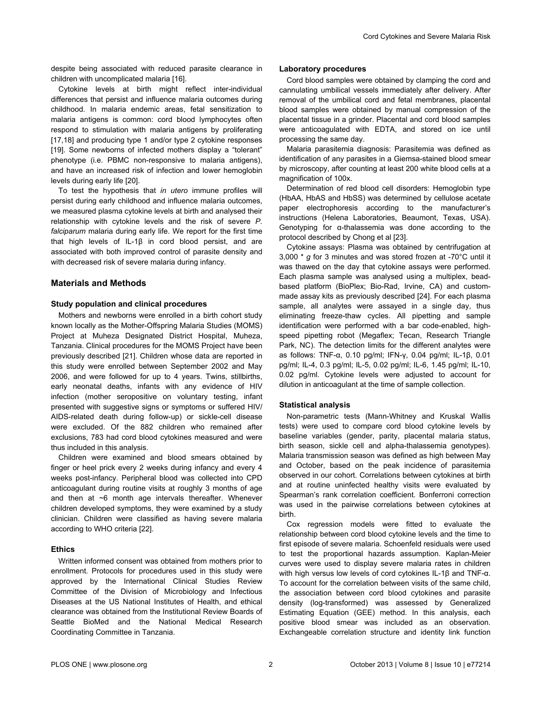despite being associated with reduced parasite clearance in children with uncomplicated malaria [[16](#page-6-0)].

Cytokine levels at birth might reflect inter-individual differences that persist and influence malaria outcomes during childhood. In malaria endemic areas, fetal sensitization to malaria antigens is common: cord blood lymphocytes often respond to stimulation with malaria antigens by proliferating [[17](#page-6-0),[18](#page-6-0)] and producing type 1 and/or type 2 cytokine responses [[19](#page-6-0)]. Some newborns of infected mothers display a "tolerant" phenotype (i.e. PBMC non-responsive to malaria antigens), and have an increased risk of infection and lower hemoglobin levels during early life [\[20\]](#page-6-0).

To test the hypothesis that *in utero* immune profiles will persist during early childhood and influence malaria outcomes, we measured plasma cytokine levels at birth and analysed their relationship with cytokine levels and the risk of severe *P. falciparum* malaria during early life. We report for the first time that high levels of IL-1β in cord blood persist, and are associated with both improved control of parasite density and with decreased risk of severe malaria during infancy.

## **Materials and Methods**

#### **Study population and clinical procedures**

Mothers and newborns were enrolled in a birth cohort study known locally as the Mother-Offspring Malaria Studies (MOMS) Project at Muheza Designated District Hospital, Muheza, Tanzania. Clinical procedures for the MOMS Project have been previously described [\[21\]](#page-6-0). Children whose data are reported in this study were enrolled between September 2002 and May 2006, and were followed for up to 4 years. Twins, stillbirths, early neonatal deaths, infants with any evidence of HIV infection (mother seropositive on voluntary testing, infant presented with suggestive signs or symptoms or suffered HIV/ AIDS-related death during follow-up) or sickle-cell disease were excluded. Of the 882 children who remained after exclusions, 783 had cord blood cytokines measured and were thus included in this analysis.

Children were examined and blood smears obtained by finger or heel prick every 2 weeks during infancy and every 4 weeks post-infancy. Peripheral blood was collected into CPD anticoagulant during routine visits at roughly 3 months of age and then at ~6 month age intervals thereafter. Whenever children developed symptoms, they were examined by a study clinician. Children were classified as having severe malaria according to WHO criteria [[22](#page-6-0)].

## **Ethics**

Written informed consent was obtained from mothers prior to enrollment. Protocols for procedures used in this study were approved by the International Clinical Studies Review Committee of the Division of Microbiology and Infectious Diseases at the US National Institutes of Health, and ethical clearance was obtained from the Institutional Review Boards of Seattle BioMed and the National Medical Research Coordinating Committee in Tanzania.

#### **Laboratory procedures**

Cord blood samples were obtained by clamping the cord and cannulating umbilical vessels immediately after delivery. After removal of the umbilical cord and fetal membranes, placental blood samples were obtained by manual compression of the placental tissue in a grinder. Placental and cord blood samples were anticoagulated with EDTA, and stored on ice until processing the same day.

Malaria parasitemia diagnosis: Parasitemia was defined as identification of any parasites in a Giemsa-stained blood smear by microscopy, after counting at least 200 white blood cells at a magnification of 100x.

Determination of red blood cell disorders: Hemoglobin type (HbAA, HbAS and HbSS) was determined by cellulose acetate paper electrophoresis according to the manufacturer's instructions (Helena Laboratories, Beaumont, Texas, USA). Genotyping for α-thalassemia was done according to the protocol described by Chong et al [[23](#page-6-0)].

Cytokine assays: Plasma was obtained by centrifugation at 3,000 \* *g* for 3 minutes and was stored frozen at -70°C until it was thawed on the day that cytokine assays were performed. Each plasma sample was analysed using a multiplex, beadbased platform (BioPlex; Bio-Rad, Irvine, CA) and custommade assay kits as previously described [[24](#page-7-0)]. For each plasma sample, all analytes were assayed in a single day, thus eliminating freeze-thaw cycles. All pipetting and sample identification were performed with a bar code-enabled, highspeed pipetting robot (Megaflex; Tecan, Research Triangle Park, NC). The detection limits for the different analytes were as follows: TNF-α, 0.10 pg/ml; IFN-γ, 0.04 pg/ml; IL-1β, 0.01 pg/ml; IL-4, 0.3 pg/ml; IL-5, 0.02 pg/ml; IL-6, 1.45 pg/ml; IL-10, 0.02 pg/ml. Cytokine levels were adjusted to account for dilution in anticoagulant at the time of sample collection.

#### **Statistical analysis**

Non-parametric tests (Mann-Whitney and Kruskal Wallis tests) were used to compare cord blood cytokine levels by baseline variables (gender, parity, placental malaria status, birth season, sickle cell and alpha-thalassemia genotypes). Malaria transmission season was defined as high between May and October, based on the peak incidence of parasitemia observed in our cohort. Correlations between cytokines at birth and at routine uninfected healthy visits were evaluated by Spearman's rank correlation coefficient. Bonferroni correction was used in the pairwise correlations between cytokines at birth.

Cox regression models were fitted to evaluate the relationship between cord blood cytokine levels and the time to first episode of severe malaria. Schoenfeld residuals were used to test the proportional hazards assumption. Kaplan-Meier curves were used to display severe malaria rates in children with high versus low levels of cord cytokines IL-1β and TNF-α. To account for the correlation between visits of the same child, the association between cord blood cytokines and parasite density (log-transformed) was assessed by Generalized Estimating Equation (GEE) method. In this analysis, each positive blood smear was included as an observation. Exchangeable correlation structure and identity link function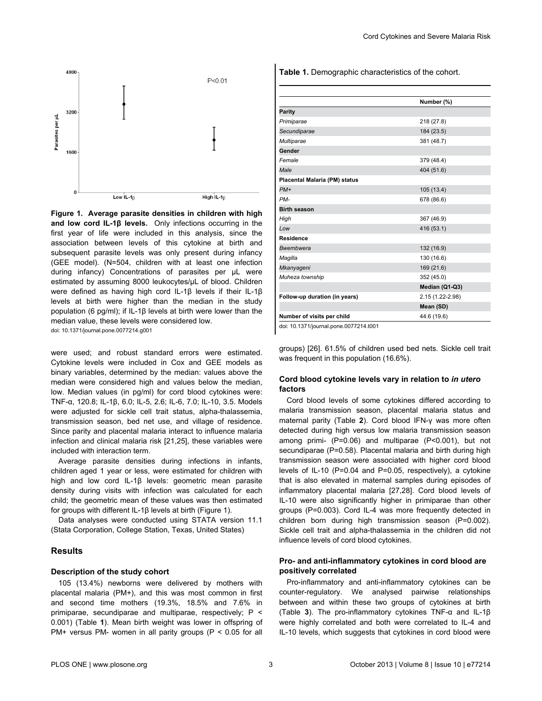<span id="page-2-0"></span>

**Figure 1. Average parasite densities in children with high and low cord IL-1β levels.** Only infections occurring in the first year of life were included in this analysis, since the association between levels of this cytokine at birth and subsequent parasite levels was only present during infancy (GEE model). (N=504, children with at least one infection during infancy) Concentrations of parasites per μL were estimated by assuming 8000 leukocytes/μL of blood. Children were defined as having high cord IL-1β levels if their IL-1β levels at birth were higher than the median in the study population (6 pg/ml); if IL-1β levels at birth were lower than the median value, these levels were considered low. doi: 10.1371/journal.pone.0077214.g001

were used; and robust standard errors were estimated. Cytokine levels were included in Cox and GEE models as binary variables, determined by the median: values above the median were considered high and values below the median, low. Median values (in pg/ml) for cord blood cytokines were: TNF-α, 120.8; IL-1β, 6.0; IL-5, 2.6; IL-6, 7.0; IL-10, 3.5. Models were adjusted for sickle cell trait status, alpha-thalassemia, transmission season, bed net use, and village of residence. Since parity and placental malaria interact to influence malaria infection and clinical malaria risk [[21](#page-6-0),[25](#page-7-0)], these variables were included with interaction term.

Average parasite densities during infections in infants, children aged 1 year or less, were estimated for children with high and low cord IL-1β levels: geometric mean parasite density during visits with infection was calculated for each child; the geometric mean of these values was then estimated for groups with different IL-1β levels at birth (Figure 1).

Data analyses were conducted using STATA version 11.1 (Stata Corporation, College Station, Texas, United States)

## **Results**

#### **Description of the study cohort**

105 (13.4%) newborns were delivered by mothers with placental malaria (PM+), and this was most common in first and second time mothers (19.3%, 18.5% and 7.6% in primiparae, secundiparae and multiparae, respectively; P < 0.001) (Table **1**). Mean birth weight was lower in offspring of PM+ versus PM- women in all parity groups ( $P < 0.05$  for all **Table 1.** Demographic characteristics of the cohort.

|                               | Number (%)       |
|-------------------------------|------------------|
| <b>Parity</b>                 |                  |
| Primiparae                    | 218 (27.8)       |
| Secundiparae                  | 184 (23.5)       |
| Multiparae                    | 381 (48.7)       |
| Gender                        |                  |
| Female                        | 379 (48.4)       |
| Male                          | 404 (51.6)       |
| Placental Malaria (PM) status |                  |
| $PM+$                         | 105(13.4)        |
| PM-                           | 678 (86.6)       |
| <b>Birth season</b>           |                  |
| High                          | 367 (46.9)       |
| Low                           | 416 (53.1)       |
| <b>Residence</b>              |                  |
| <b>Bwembwera</b>              | 132 (16.9)       |
| Magilla                       | 130 (16.6)       |
| Mkanyageni                    | 169 (21.6)       |
| Muheza township               | 352 (45.0)       |
|                               | Median (Q1-Q3)   |
| Follow-up duration (in years) | 2.15 (1.22-2.98) |
|                               | Mean (SD)        |
| Number of visits per child    | 44.6 (19.6)      |

doi: 10.1371/journal.pone.0077214.t001

groups) [[26](#page-7-0)]. 61.5% of children used bed nets. Sickle cell trait was frequent in this population (16.6%).

### **Cord blood cytokine levels vary in relation to** *in utero* **factors**

Cord blood levels of some cytokines differed according to malaria transmission season, placental malaria status and maternal parity ([Table](#page-3-0) **2**). Cord blood IFN-γ was more often detected during high versus low malaria transmission season among primi- (P=0.06) and multiparae (P<0.001), but not secundiparae (P=0.58). Placental malaria and birth during high transmission season were associated with higher cord blood levels of IL-10 (P=0.04 and P=0.05, respectively), a cytokine that is also elevated in maternal samples during episodes of inflammatory placental malaria [\[27,28](#page-7-0)]. Cord blood levels of IL-10 were also significantly higher in primiparae than other groups (P=0.003). Cord IL-4 was more frequently detected in children born during high transmission season (P=0.002). Sickle cell trait and alpha-thalassemia in the children did not influence levels of cord blood cytokines.

## **Pro- and anti-inflammatory cytokines in cord blood are positively correlated**

Pro-inflammatory and anti-inflammatory cytokines can be counter-regulatory. We analysed pairwise relationships between and within these two groups of cytokines at birth [\(Table](#page-3-0) **3**). The pro-inflammatory cytokines TNF-α and IL-1β were highly correlated and both were correlated to IL-4 and IL-10 levels, which suggests that cytokines in cord blood were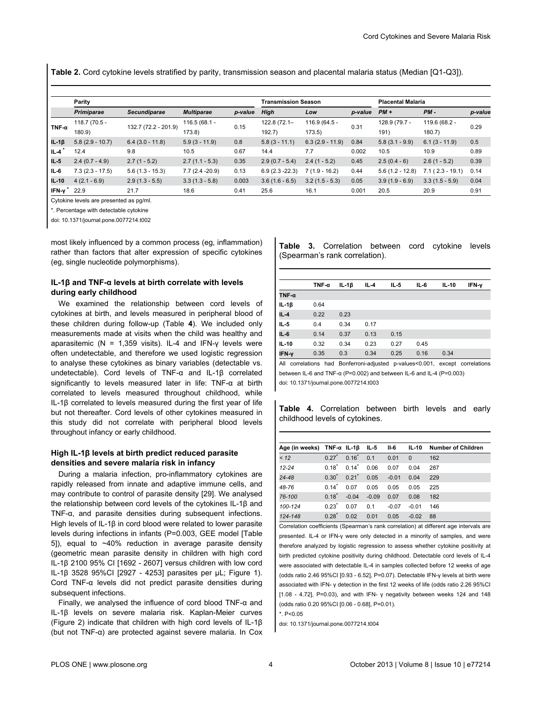<span id="page-3-0"></span>**Table 2.** Cord cytokine levels stratified by parity, transmission season and placental malaria status (Median [Q1-Q3]).

|               | <b>Parity</b>     |                      |                   | <b>Transmission Season</b> |                   |                   | <b>Placental Malaria</b> |                   |                   |         |
|---------------|-------------------|----------------------|-------------------|----------------------------|-------------------|-------------------|--------------------------|-------------------|-------------------|---------|
|               | Primiparae        | Secundiparae         | <b>Multiparae</b> | p-value                    | High              | Low               | p-value                  | $PM +$            | $PM -$            | p-value |
|               | 118.7 (70.5 -     |                      | $116.5(68.1 -$    | 0.15                       | 122.8 (72.1-      | 116.9 (64.5 -     | 0.31                     | 128.9 (79.7 -     | 119.6 (68.2 -     | 0.29    |
| TNF- $\alpha$ | 180.9             | 132.7 (72.2 - 201.9) | 173.8             |                            | 192.7             | 173.5)            |                          | 191)              | $180.7$ )         |         |
| $IL-1\beta$   | $5.8(2.9 - 10.7)$ | $6.4(3.0 - 11.8)$    | $5.9(3 - 11.9)$   | 0.8                        | $5.8(3 - 11.1)$   | $6.3(2.9 - 11.9)$ | 0.84                     | $5.8(3.1 - 9.9)$  | $6.1(3 - 11.9)$   | 0.5     |
| $IL-4$        | 12.4              | 9.8                  | 10.5              | 0.67                       | 14.4              | 7.7               | 0.002                    | 10.5              | 10.9              | 0.89    |
| IL-5          | $2.4(0.7 - 4.9)$  | $2.7(1 - 5.2)$       | $2.7(1.1 - 5.3)$  | 0.35                       | $2.9(0.7 - 5.4)$  | $2.4(1 - 5.2)$    | 0.45                     | $2.5(0.4-6)$      | $2.6(1 - 5.2)$    | 0.39    |
| $IL-6$        | $7.3(2.3 - 17.5)$ | $5.6(1.3 - 15.3)$    | $7.7(2.4 - 20.9)$ | 0.13                       | $6.9(2.3 - 22.3)$ | $7(1.9 - 16.2)$   | 0.44                     | $5.6(1.2 - 12.8)$ | $7.1(2.3 - 19.1)$ | 0.14    |
| IL-10         | $4(2.1 - 6.9)$    | $2.9(1.3 - 5.5)$     | $3.3(1.3 - 5.8)$  | 0.003                      | $3.6(1.6 - 6.5)$  | $3.2(1.5 - 5.3)$  | 0.05                     | $3.9(1.9 - 6.9)$  | $3.3(1.5 - 5.9)$  | 0.04    |
| IFN- $v^*$    | 22.9              | 21.7                 | 18.6              | 0.41                       | 25.6              | 16.1              | 0.001                    | 20.5              | 20.9              | 0.91    |

Cytokine levels are presented as pg/ml.

\*. Percentage with detectable cytokine

doi: 10.1371/journal.pone.0077214.t002

most likely influenced by a common process (eg, inflammation) rather than factors that alter expression of specific cytokines (eg, single nucleotide polymorphisms).

## **IL-1β and TNF-α levels at birth correlate with levels during early childhood**

We examined the relationship between cord levels of cytokines at birth, and levels measured in peripheral blood of these children during follow-up (Table **4**). We included only measurements made at visits when the child was healthy and aparasitemic ( $N = 1,359$  visits). IL-4 and IFN-y levels were often undetectable, and therefore we used logistic regression to analyse these cytokines as binary variables (detectable vs. undetectable). Cord levels of TNF-α and IL-1β correlated significantly to levels measured later in life: TNF-α at birth correlated to levels measured throughout childhood, while IL-1β correlated to levels measured during the first year of life but not thereafter. Cord levels of other cytokines measured in this study did not correlate with peripheral blood levels throughout infancy or early childhood.

### **High IL-1β levels at birth predict reduced parasite densities and severe malaria risk in infancy**

During a malaria infection, pro-inflammatory cytokines are rapidly released from innate and adaptive immune cells, and may contribute to control of parasite density [[29](#page-7-0)]. We analysed the relationship between cord levels of the cytokines IL-1β and TNF-α, and parasite densities during subsequent infections. High levels of IL-1β in cord blood were related to lower parasite levels during infections in infants (P=0.003, GEE model [\[Table](#page-4-0) [5](#page-4-0)]), equal to ~40% reduction in average parasite density (geometric mean parasite density in children with high cord IL-1β 2100 95% CI [1692 - 2607] versus children with low cord IL-1β 3528 95%CI [2927 - 4253] parasites per μL; [Figure 1\)](#page-2-0). Cord TNF-α levels did not predict parasite densities during subsequent infections.

Finally, we analysed the influence of cord blood TNF-α and IL-1β levels on severe malaria risk. Kaplan-Meier curves [\(Figure 2\)](#page-5-0) indicate that children with high cord levels of IL-1β (but not TNF-α) are protected against severe malaria. In Cox **Table 3.** Correlation between cord cytokine levels (Spearman's rank correlation).

|               | TNF- $\alpha$ | IL-1 $\beta$ | $IL-4$ | $IL-5$ | IL-6 | $IL-10$ | IFN-y |
|---------------|---------------|--------------|--------|--------|------|---------|-------|
| TNF- $\alpha$ |               |              |        |        |      |         |       |
| $IL-1\beta$   | 0.64          |              |        |        |      |         |       |
| $IL-4$        | 0.22          | 0.23         |        |        |      |         |       |
| $IL-5$        | 0.4           | 0.34         | 0.17   |        |      |         |       |
| IL-6          | 0.14          | 0.37         | 0.13   | 0.15   |      |         |       |
| $IL-10$       | 0.32          | 0.34         | 0.23   | 0.27   | 0.45 |         |       |
| IFN-y         | 0.35          | 0.3          | 0.34   | 0.25   | 0.16 | 0.34    |       |

All correlations had Bonferroni-adjusted p-values<0.001, except correlations between IL-6 and TNF-α (P=0.002) and between IL-6 and IL-4 (P=0.003) doi: 10.1371/journal.pone.0077214.t003

**Table 4.** Correlation between birth levels and early childhood levels of cytokines.

| Age (in weeks) $TNF-\alpha$ IL-1 $\beta$ |                     |                     | - IL-5  | II-6    | IL-10    | <b>Number of Children</b> |
|------------------------------------------|---------------------|---------------------|---------|---------|----------|---------------------------|
| 12                                       | $0.27$ <sup>*</sup> | $0.16*$             | 0.1     | 0.01    | $\Omega$ | 162                       |
| $12 - 24$                                | $0.18^*$            | $0.14^*$            | 0.06    | 0.07    | 0.04     | 287                       |
| $24 - 48$                                | $0.30^{*}$          | $0.21$ <sup>*</sup> | 0.05    | $-0.01$ | 0.04     | 229                       |
| 48-76                                    | $0.14$ <sup>*</sup> | 0.07                | 0.05    | 0.05    | 0.05     | 225                       |
| 76-100                                   | $0.18^*$            | $-0.04$             | $-0.09$ | 0.07    | 0.08     | 182                       |
| 100-124                                  | $0.23^*$            | 0.07                | 0.1     | $-0.07$ | $-0.01$  | 146                       |
| 124-148                                  | $0.28^*$            | 0.02                | 0.01    | 0.05    | $-0.02$  | 88                        |

Correlation coefficients (Spearman's rank correlation) at different age intervals are presented. IL-4 or IFN-γ were only detected in a minority of samples, and were therefore analyzed by logistic regression to assess whether cytokine positivity at birth predicted cytokine positivity during childhood. Detectable cord levels of IL-4 were associated with detectable IL-4 in samples collected before 12 weeks of age (odds ratio 2.46 95%CI [0.93 - 6.52], P=0.07). Detectable IFN-γ levels at birth were associated with IFN- γ detection in the first 12 weeks of life (odds ratio 2.26 95%CI [1.08 - 4.72], P=0.03), and with IFN- γ negativity between weeks 124 and 148 (odds ratio 0.20 95%CI [0.06 - 0.68], P=0.01).

\*. P<0.05

doi: 10.1371/journal.pone.0077214.t004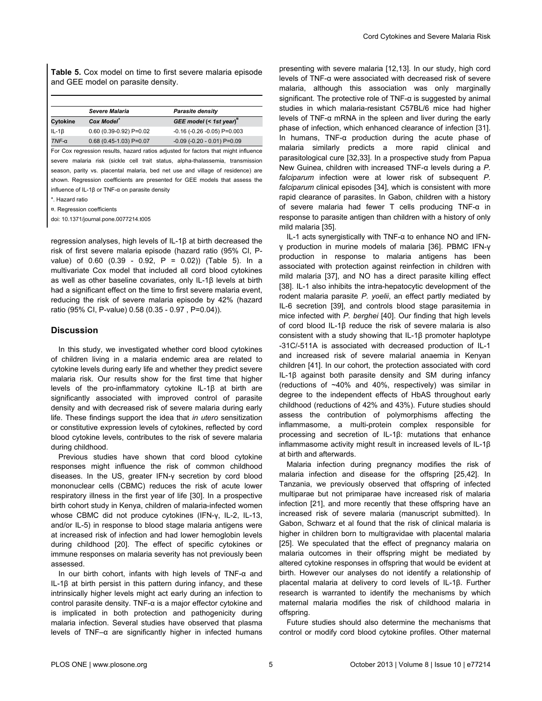<span id="page-4-0"></span>**Table 5.** Cox model on time to first severe malaria episode and GEE model on parasite density.

| <b>Severe Malaria</b>     | Parasite density                    |
|---------------------------|-------------------------------------|
| Cox Model                 | GEE model (< 1st year)"             |
| $0.60$ (0.39-0.92) P=0.02 | $-0.16$ ( $-0.26$ $-0.05$ ) P=0.003 |
| $0.68$ (0.45-1.03) P=0.07 | $-0.09$ ( $-0.20 - 0.01$ ) P=0.09   |
|                           |                                     |

For Cox regression results, hazard ratios adjusted for factors that might influence severe malaria risk (sickle cell trait status, alpha-thalassemia, transmission season, parity vs. placental malaria, bed net use and village of residence) are shown. Regression coefficients are presented for GEE models that assess the influence of IL-1β or TNF-α on parasite density

\*. Hazard ratio

¤. Regression coefficients

doi: 10.1371/journal.pone.0077214.t005

regression analyses, high levels of IL-1β at birth decreased the risk of first severe malaria episode (hazard ratio (95% CI, Pvalue) of  $0.60$  ( $0.39 - 0.92$ ,  $P = 0.02$ )) (Table 5). In a multivariate Cox model that included all cord blood cytokines as well as other baseline covariates, only IL-1β levels at birth had a significant effect on the time to first severe malaria event, reducing the risk of severe malaria episode by 42% (hazard ratio (95% CI, P-value) 0.58 (0.35 - 0.97 , P=0.04)).

## **Discussion**

In this study, we investigated whether cord blood cytokines of children living in a malaria endemic area are related to cytokine levels during early life and whether they predict severe malaria risk. Our results show for the first time that higher levels of the pro-inflammatory cytokine IL-1β at birth are significantly associated with improved control of parasite density and with decreased risk of severe malaria during early life. These findings support the idea that *in utero* sensitization or constitutive expression levels of cytokines, reflected by cord blood cytokine levels, contributes to the risk of severe malaria during childhood.

Previous studies have shown that cord blood cytokine responses might influence the risk of common childhood diseases. In the US, greater IFN-γ secretion by cord blood mononuclear cells (CBMC) reduces the risk of acute lower respiratory illness in the first year of life [\[30](#page-7-0)]. In a prospective birth cohort study in Kenya, children of malaria-infected women whose CBMC did not produce cytokines (IFN-γ, IL-2, IL-13, and/or IL-5) in response to blood stage malaria antigens were at increased risk of infection and had lower hemoglobin levels during childhood [\[20\]](#page-6-0). The effect of specific cytokines or immune responses on malaria severity has not previously been assessed.

In our birth cohort, infants with high levels of TNF-α and IL-1β at birth persist in this pattern during infancy, and these intrinsically higher levels might act early during an infection to control parasite density. TNF-α is a major effector cytokine and is implicated in both protection and pathogenicity during malaria infection. Several studies have observed that plasma levels of TNF–α are significantly higher in infected humans

presenting with severe malaria [\[12,13\]](#page-6-0). In our study, high cord levels of TNF-α were associated with decreased risk of severe malaria, although this association was only marginally significant. The protective role of  $TNF-\alpha$  is suggested by animal studies in which malaria-resistant C57BL/6 mice had higher levels of TNF-α mRNA in the spleen and liver during the early phase of infection, which enhanced clearance of infection [\[31\]](#page-7-0). In humans, TNF-α production during the acute phase of malaria similarly predicts a more rapid clinical and parasitological cure [\[32,33\]](#page-7-0). In a prospective study from Papua New Guinea, children with increased TNF-α levels during a *P. falciparum* infection were at lower risk of subsequent *P. falciparum* clinical episodes [\[34\]](#page-7-0), which is consistent with more rapid clearance of parasites. In Gabon, children with a history of severe malaria had fewer T cells producing TNF-α in response to parasite antigen than children with a history of only mild malaria [\[35](#page-7-0)].

IL-1 acts synergistically with TNF-α to enhance NO and IFNγ production in murine models of malaria [\[36\]](#page-7-0). PBMC IFN-γ production in response to malaria antigens has been associated with protection against reinfection in children with mild malaria [\[37\]](#page-7-0), and NO has a direct parasite killing effect [[38](#page-7-0)]. IL-1 also inhibits the intra-hepatocytic development of the rodent malaria parasite *P. yoelii*, an effect partly mediated by IL-6 secretion [\[39\]](#page-7-0), and controls blood stage parasitemia in mice infected with *P. berghei* [\[40\]](#page-7-0). Our finding that high levels of cord blood IL-1β reduce the risk of severe malaria is also consistent with a study showing that IL-1β promoter haplotype -31C/-511A is associated with decreased production of IL-1 and increased risk of severe malarial anaemia in Kenyan children [\[41\]](#page-7-0). In our cohort, the protection associated with cord IL-1β against both parasite density and SM during infancy (reductions of ~40% and 40%, respectively) was similar in degree to the independent effects of HbAS throughout early childhood (reductions of 42% and 43%). Future studies should assess the contribution of polymorphisms affecting the inflammasome, a multi-protein complex responsible for processing and secretion of IL-1β: mutations that enhance inflammasome activity might result in increased levels of IL-1β at birth and afterwards.

Malaria infection during pregnancy modifies the risk of malaria infection and disease for the offspring [[25,42\]](#page-7-0). In Tanzania, we previously observed that offspring of infected multiparae but not primiparae have increased risk of malaria infection [\[21\]](#page-6-0), and more recently that these offspring have an increased risk of severe malaria (manuscript submitted). In Gabon, Schwarz et al found that the risk of clinical malaria is higher in children born to multigravidae with placental malaria [[25](#page-7-0)]. We speculated that the effect of pregnancy malaria on malaria outcomes in their offspring might be mediated by altered cytokine responses in offspring that would be evident at birth. However our analyses do not identify a relationship of placental malaria at delivery to cord levels of IL-1β. Further research is warranted to identify the mechanisms by which maternal malaria modifies the risk of childhood malaria in offspring.

Future studies should also determine the mechanisms that control or modify cord blood cytokine profiles. Other maternal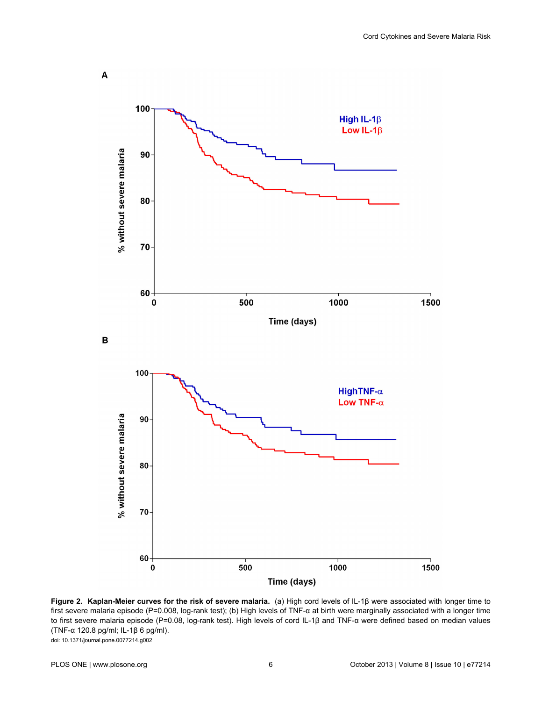<span id="page-5-0"></span>

**Figure 2. Kaplan-Meier curves for the risk of severe malaria.** (a) High cord levels of IL-1β were associated with longer time to first severe malaria episode (P=0.008, log-rank test); (b) High levels of TNF-α at birth were marginally associated with a longer time to first severe malaria episode (P=0.08, log-rank test). High levels of cord IL-1β and TNF-α were defined based on median values (TNF-α 120.8 pg/ml; IL-1β 6 pg/ml). doi: 10.1371/journal.pone.0077214.g002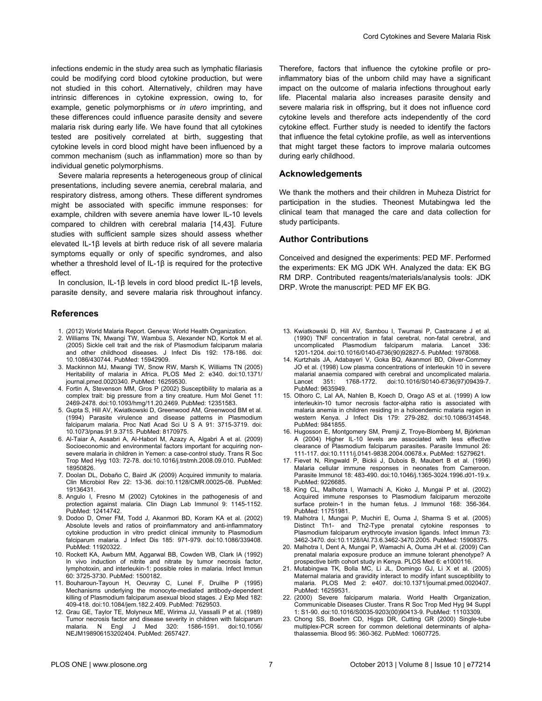<span id="page-6-0"></span>infections endemic in the study area such as lymphatic filariasis could be modifying cord blood cytokine production, but were not studied in this cohort. Alternatively, children may have intrinsic differences in cytokine expression, owing to, for example, genetic polymorphisms or *in utero* imprinting, and these differences could influence parasite density and severe malaria risk during early life. We have found that all cytokines tested are positively correlated at birth, suggesting that cytokine levels in cord blood might have been influenced by a common mechanism (such as inflammation) more so than by individual genetic polymorphisms.

Severe malaria represents a heterogeneous group of clinical presentations, including severe anemia, cerebral malaria, and respiratory distress, among others. These different syndromes might be associated with specific immune responses: for example, children with severe anemia have lower IL-10 levels compared to children with cerebral malaria [14[,43\]](#page-7-0). Future studies with sufficient sample sizes should assess whether elevated IL-1β levels at birth reduce risk of all severe malaria symptoms equally or only of specific syndromes, and also whether a threshold level of IL-1β is required for the protective effect.

In conclusion, IL-1β levels in cord blood predict IL-1β levels, parasite density, and severe malaria risk throughout infancy.

#### **References**

- 1. (2012) World Malaria Report. Geneva: World Health Organization.
- 2. Williams TN, Mwangi TW, Wambua S, Alexander ND, Kortok M et al. (2005) Sickle cell trait and the risk of Plasmodium falciparum malaria and other childhood diseases. J Infect Dis 192: 178-186. doi: [10.1086/430744](http://dx.doi.org/10.1086/430744). PubMed: [15942909](http://www.ncbi.nlm.nih.gov/pubmed/15942909).
- 3. Mackinnon MJ, Mwangi TW, Snow RW, Marsh K, Williams TN (2005) Heritability of malaria in Africa. PLOS Med 2: e340. doi[:10.1371/](http://dx.doi.org/10.1371/journal.pmed.0020340) [journal.pmed.0020340](http://dx.doi.org/10.1371/journal.pmed.0020340). PubMed: [16259530](http://www.ncbi.nlm.nih.gov/pubmed/16259530).
- 4. Fortin A, Stevenson MM, Gros P (2002) Susceptibility to malaria as a complex trait: big pressure from a tiny creature. Hum Mol Genet 11: 2469-2478. doi[:10.1093/hmg/11.20.2469](http://dx.doi.org/10.1093/hmg/11.20.2469). PubMed: [12351583](http://www.ncbi.nlm.nih.gov/pubmed/12351583).
- 5. Gupta S, Hill AV, Kwiatkowski D, Greenwood AM, Greenwood BM et al. (1994) Parasite virulence and disease patterns in Plasmodium falciparum malaria. Proc Natl Acad Sci U S A 91: 3715-3719. doi: [10.1073/pnas.91.9.3715](http://dx.doi.org/10.1073/pnas.91.9.3715). PubMed: [8170975](http://www.ncbi.nlm.nih.gov/pubmed/8170975).
- 6. Al-Taiar A, Assabri A, Al-Habori M, Azazy A, Algabri A et al. (2009) Socioeconomic and environmental factors important for acquiring nonsevere malaria in children in Yemen: a case-control study. Trans R Soc Trop Med Hyg 103: 72-78. doi:[10.1016/j.trstmh.2008.09.010.](http://dx.doi.org/10.1016/j.trstmh.2008.09.010) PubMed: [18950826.](http://www.ncbi.nlm.nih.gov/pubmed/18950826)
- 7. Doolan DL, Dobaño C, Baird JK (2009) Acquired immunity to malaria. Clin Microbiol Rev 22: 13-36. doi:[10.1128/CMR.00025-08.](http://dx.doi.org/10.1128/CMR.00025-08) PubMed: [19136431.](http://www.ncbi.nlm.nih.gov/pubmed/19136431)
- 8. Angulo I, Fresno M (2002) Cytokines in the pathogenesis of and protection against malaria. Clin Diagn Lab Immunol 9: 1145-1152. PubMed: [12414742.](http://www.ncbi.nlm.nih.gov/pubmed/12414742)
- 9. Dodoo D, Omer FM, Todd J, Akanmori BD, Koram KA et al. (2002) Absolute levels and ratios of proinflammatory and anti-inflammatory cytokine production in vitro predict clinical immunity to Plasmodium falciparum malaria. J Infect Dis 185: 971-979. doi:[10.1086/339408.](http://dx.doi.org/10.1086/339408) PubMed: [11920322.](http://www.ncbi.nlm.nih.gov/pubmed/11920322)
- 10. Rockett KA, Awburn MM, Aggarwal BB, Cowden WB, Clark IA (1992) In vivo induction of nitrite and nitrate by tumor necrosis factor, lymphotoxin, and interleukin-1: possible roles in malaria. Infect Immun 60: 3725-3730. PubMed: [1500182.](http://www.ncbi.nlm.nih.gov/pubmed/1500182)
- 11. Bouharoun-Tayoun H, Oeuvray C, Lunel F, Druilhe P (1995) Mechanisms underlying the monocyte-mediated antibody-dependent killing of Plasmodium falciparum asexual blood stages. J Exp Med 182: 409-418. doi[:10.1084/jem.182.2.409](http://dx.doi.org/10.1084/jem.182.2.409). PubMed: [7629503](http://www.ncbi.nlm.nih.gov/pubmed/7629503).
- 12. Grau GE, Taylor TE, Molyneux ME, Wirima JJ, Vassalli P et al. (1989) Tumor necrosis factor and disease severity in children with falciparum<br>malaria. N Engl J Med 320: 1586-1591. doi:10.1056/ malaria. N Engl J Med 320: [NEJM198906153202404](http://dx.doi.org/10.1056/NEJM198906153202404). PubMed: [2657427](http://www.ncbi.nlm.nih.gov/pubmed/2657427).

Therefore, factors that influence the cytokine profile or proinflammatory bias of the unborn child may have a significant impact on the outcome of malaria infections throughout early life. Placental malaria also increases parasite density and severe malaria risk in offspring, but it does not influence cord cytokine levels and therefore acts independently of the cord cytokine effect. Further study is needed to identify the factors that influence the fetal cytokine profile, as well as interventions that might target these factors to improve malaria outcomes during early childhood.

#### **Acknowledgements**

We thank the mothers and their children in Muheza District for participation in the studies. Theonest Mutabingwa led the clinical team that managed the care and data collection for study participants.

## **Author Contributions**

Conceived and designed the experiments: PED MF. Performed the experiments: EK MG JDK WH. Analyzed the data: EK BG RM DRP. Contributed reagents/materials/analysis tools: JDK DRP. Wrote the manuscript: PED MF EK BG.

- 13. Kwiatkowski D, Hill AV, Sambou I, Twumasi P, Castracane J et al. (1990) TNF concentration in fatal cerebral, non-fatal cerebral, and uncomplicated Plasmodium falciparum malaria. Lancet 336: 1201-1204. doi[:10.1016/0140-6736\(90\)92827-5](http://dx.doi.org/10.1016/0140-6736(90)92827-5). PubMed: [1978068](http://www.ncbi.nlm.nih.gov/pubmed/1978068).
- 14. Kurtzhals JA, Adabayeri V, Goka BQ, Akanmori BD, Oliver-Commey JO et al. (1998) Low plasma concentrations of interleukin 10 in severe malarial anaemia compared with cerebral and uncomplicated malaria.<br>Lancet 351: 1768-1772. doi:10.1016/S0140-6736(97)09439-7. Lancet 351: 1768-1772. doi:[10.1016/S0140-6736\(97\)09439-7](http://dx.doi.org/10.1016/S0140-6736(97)09439-7). PubMed: [9635949.](http://www.ncbi.nlm.nih.gov/pubmed/9635949)
- 15. Othoro C, Lal AA, Nahlen B, Koech D, Orago AS et al. (1999) A low interleukin-10 tumor necrosis factor-alpha ratio is associated with malaria anemia in children residing in a holoendemic malaria region in western Kenya. J Infect Dis 179: 279-282. doi:[10.1086/314548](http://dx.doi.org/10.1086/314548). PubMed: [9841855.](http://www.ncbi.nlm.nih.gov/pubmed/9841855)
- 16. Hugosson E, Montgomery SM, Premji Z, Troye-Blomberg M, Björkman A (2004) Higher IL-10 levels are associated with less effective clearance of Plasmodium falciparum parasites. Parasite Immunol 26: 111-117. doi[:10.1111/j.0141-9838.2004.00678.x.](http://dx.doi.org/10.1111/j.0141-9838.2004.00678.x) PubMed: [15279621.](http://www.ncbi.nlm.nih.gov/pubmed/15279621)
- 17. Fievet N, Ringwald P, Bickii J, Dubois B, Maubert B et al. (1996) Malaria cellular immune responses in neonates from Cameroon. Parasite Immunol 18: 483-490. doi:[10.1046/j.1365-3024.1996.d01-19.x](http://dx.doi.org/10.1046/j.1365-3024.1996.d01-19.x). PubMed: [9226685.](http://www.ncbi.nlm.nih.gov/pubmed/9226685)
- 18. King CL, Malhotra I, Wamachi A, Kioko J, Mungai P et al. (2002) Acquired immune responses to Plasmodium falciparum merozoite surface protein-1 in the human fetus. J Immunol 168: 356-364. PubMed: [11751981.](http://www.ncbi.nlm.nih.gov/pubmed/11751981)
- 19. Malhotra I, Mungai P, Muchiri E, Ouma J, Sharma S et al. (2005) Distinct Th1- and Th2-Type prenatal cytokine responses to Plasmodium falciparum erythrocyte invasion ligands. Infect Immun 73: 3462-3470. doi[:10.1128/IAI.73.6.3462-3470.2005](http://dx.doi.org/10.1128/IAI.73.6.3462-3470.2005). PubMed: [15908375](http://www.ncbi.nlm.nih.gov/pubmed/15908375).
- 20. Malhotra I, Dent A, Mungai P, Wamachi A, Ouma JH et al. (2009) Can prenatal malaria exposure produce an immune tolerant phenotype? A prospective birth cohort study in Kenya. PLOS Med 6: e1000116.
- 21. Mutabingwa TK, Bolla MC, Li JL, Domingo GJ, Li X et al. (2005) Maternal malaria and gravidity interact to modify infant susceptibility to malaria. PLOS Med 2: e407. doi:[10.1371/journal.pmed.0020407](http://dx.doi.org/10.1371/journal.pmed.0020407). PubMed: [16259531.](http://www.ncbi.nlm.nih.gov/pubmed/16259531)
- 22. (2000) Severe falciparum malaria. World Health Organization, Communicable Diseases Cluster. Trans R Soc Trop Med Hyg 94 Suppl 1: S1-90. doi[:10.1016/S0035-9203\(00\)90413-9.](http://dx.doi.org/10.1016/S0035-9203(00)90413-9) PubMed: [11103309.](http://www.ncbi.nlm.nih.gov/pubmed/11103309)
- 23. Chong SS, Boehm CD, Higgs DR, Cutting GR (2000) Single-tube multiplex-PCR screen for common deletional determinants of alphathalassemia. Blood 95: 360-362. PubMed: [10607725.](http://www.ncbi.nlm.nih.gov/pubmed/10607725)